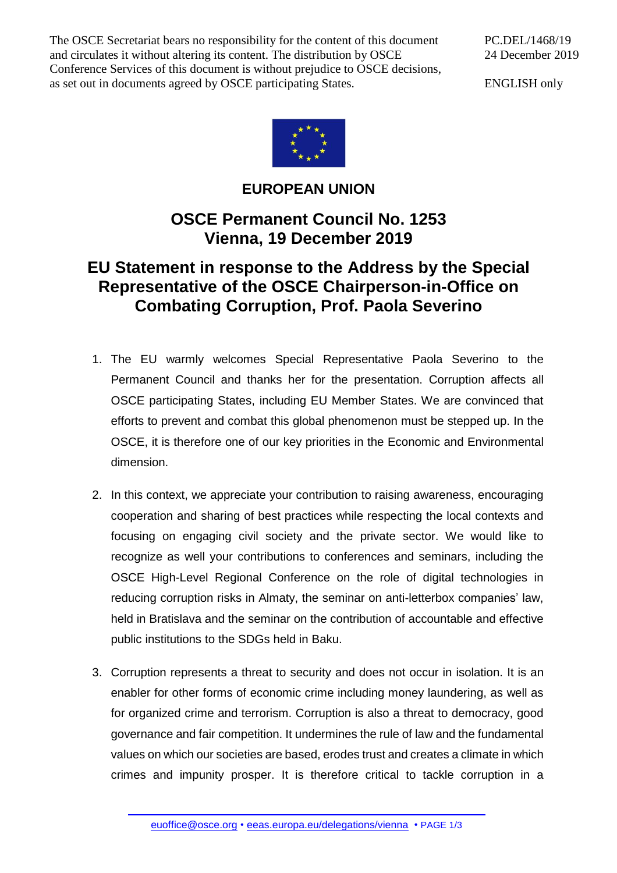The OSCE Secretariat bears no responsibility for the content of this document and circulates it without altering its content. The distribution by OSCE Conference Services of this document is without prejudice to OSCE decisions, as set out in documents agreed by OSCE participating States.

PC.DEL/1468/19 24 December 2019

ENGLISH only



**EUROPEAN UNION**

## **OSCE Permanent Council No. 1253 Vienna, 19 December 2019**

## **EU Statement in response to the Address by the Special Representative of the OSCE Chairperson-in-Office on Combating Corruption, Prof. Paola Severino**

- 1. The EU warmly welcomes Special Representative Paola Severino to the Permanent Council and thanks her for the presentation. Corruption affects all OSCE participating States, including EU Member States. We are convinced that efforts to prevent and combat this global phenomenon must be stepped up. In the OSCE, it is therefore one of our key priorities in the Economic and Environmental dimension.
- 2. In this context, we appreciate your contribution to raising awareness, encouraging cooperation and sharing of best practices while respecting the local contexts and focusing on engaging civil society and the private sector. We would like to recognize as well your contributions to conferences and seminars, including the OSCE High-Level Regional Conference on the role of digital technologies in reducing corruption risks in Almaty, the seminar on anti-letterbox companies' law, held in Bratislava and the seminar on the contribution of accountable and effective public institutions to the SDGs held in Baku.
- 3. Corruption represents a threat to security and does not occur in isolation. It is an enabler for other forms of economic crime including money laundering, as well as for organized crime and terrorism. Corruption is also a threat to democracy, good governance and fair competition. It undermines the rule of law and the fundamental values on which our societies are based, erodes trust and creates a climate in which crimes and impunity prosper. It is therefore critical to tackle corruption in a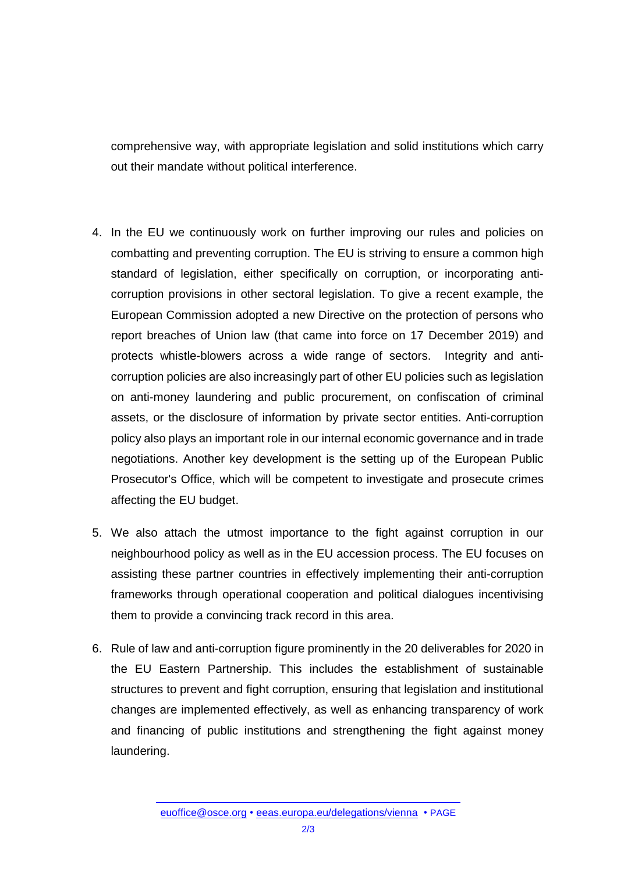comprehensive way, with appropriate legislation and solid institutions which carry out their mandate without political interference.

- 4. In the EU we continuously work on further improving our rules and policies on combatting and preventing corruption. The EU is striving to ensure a common high standard of legislation, either specifically on corruption, or incorporating anticorruption provisions in other sectoral legislation. To give a recent example, the European Commission adopted a new Directive on the protection of persons who report breaches of Union law (that came into force on 17 December 2019) and protects whistle-blowers across a wide range of sectors. Integrity and anticorruption policies are also increasingly part of other EU policies such as legislation on anti-money laundering and public procurement, on confiscation of criminal assets, or the disclosure of information by private sector entities. Anti-corruption policy also plays an important role in our internal economic governance and in trade negotiations. Another key development is the setting up of the European Public Prosecutor's Office, which will be competent to investigate and prosecute crimes affecting the EU budget.
- 5. We also attach the utmost importance to the fight against corruption in our neighbourhood policy as well as in the EU accession process. The EU focuses on assisting these partner countries in effectively implementing their anti-corruption frameworks through operational cooperation and political dialogues incentivising them to provide a convincing track record in this area.
- 6. Rule of law and anti-corruption figure prominently in the 20 deliverables for 2020 in the EU Eastern Partnership. This includes the establishment of sustainable structures to prevent and fight corruption, ensuring that legislation and institutional changes are implemented effectively, as well as enhancing transparency of work and financing of public institutions and strengthening the fight against money laundering.